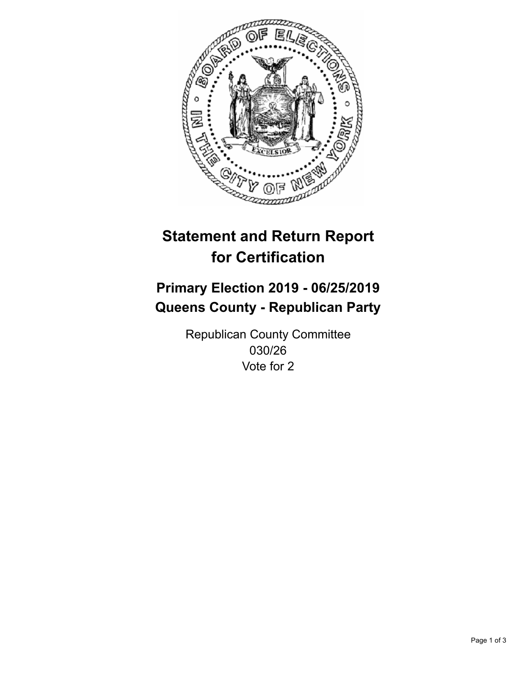

## **Statement and Return Report for Certification**

## **Primary Election 2019 - 06/25/2019 Queens County - Republican Party**

Republican County Committee 030/26 Vote for 2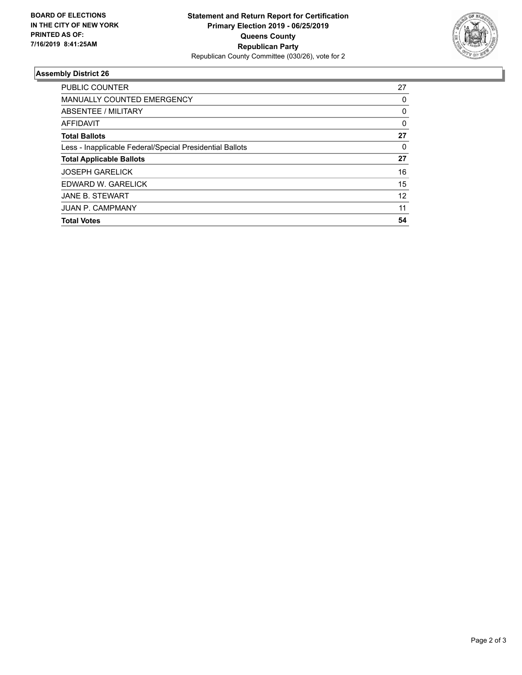

## **Assembly District 26**

| <b>Total Votes</b>                                       | 54 |
|----------------------------------------------------------|----|
| <b>JUAN P. CAMPMANY</b>                                  | 11 |
| <b>JANE B. STEWART</b>                                   | 12 |
| EDWARD W. GARELICK                                       | 15 |
| <b>JOSEPH GARELICK</b>                                   | 16 |
| <b>Total Applicable Ballots</b>                          | 27 |
| Less - Inapplicable Federal/Special Presidential Ballots | 0  |
| <b>Total Ballots</b>                                     | 27 |
| AFFIDAVIT                                                | 0  |
| ABSENTEE / MILITARY                                      | 0  |
| <b>MANUALLY COUNTED EMERGENCY</b>                        | 0  |
| <b>PUBLIC COUNTER</b>                                    | 27 |